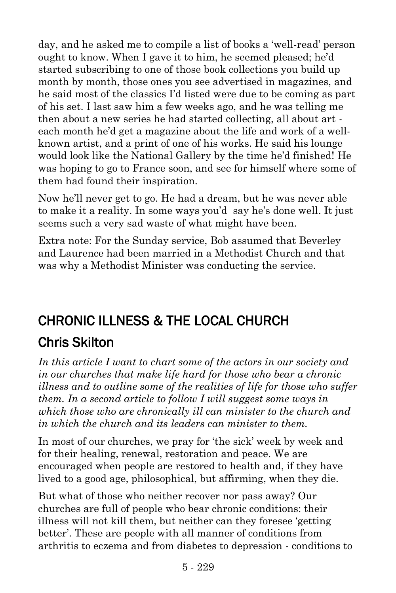day, and he asked me to compile a list of books a 'well-read' person ought to know. When I gave it to him, he seemed pleased; he'd started subscribing to one of those book collections you build up month by month, those ones you see advertised in magazines, and he said most of the classics I'd listed were due to be coming as part of his set. I last saw him a few weeks ago, and he was telling me then about a new series he had started collecting, all about art each month he'd get a magazine about the life and work of a wellknown artist, and a print of one of his works. He said his lounge would look like the National Gallery by the time he'd finished! He was hoping to go to France soon, and see for himself where some of them had found their inspiration.

Now he'll never get to go. He had a dream, but he was never able to make it a reality. In some ways you'd say he's done well. It just seems such a very sad waste of what might have been.

Extra note: For the Sunday service, Bob assumed that Beverley and Laurence had been married in a Methodist Church and that was why a Methodist Minister was conducting the service.

# CHRONIC ILLNESS & THE LOCAL CHURCH

# [Chris Skilton](https://www.ministrytoday.org.uk/magazine/authors/292/)

*In this article I want to chart some of the actors in our society and in our churches that make life hard for those who bear a chronic illness and to outline some of the realities of life for those who suffer them. In a second article to follow I will suggest some ways in which those who are chronically ill can minister to the church and in which the church and its leaders can minister to them.*

In most of our churches, we pray for 'the sick' week by week and for their healing, renewal, restoration and peace. We are encouraged when people are restored to health and, if they have lived to a good age, philosophical, but affirming, when they die.

But what of those who neither recover nor pass away? Our churches are full of people who bear chronic conditions: their illness will not kill them, but neither can they foresee 'getting better'. These are people with all manner of conditions from arthritis to eczema and from diabetes to depression - conditions to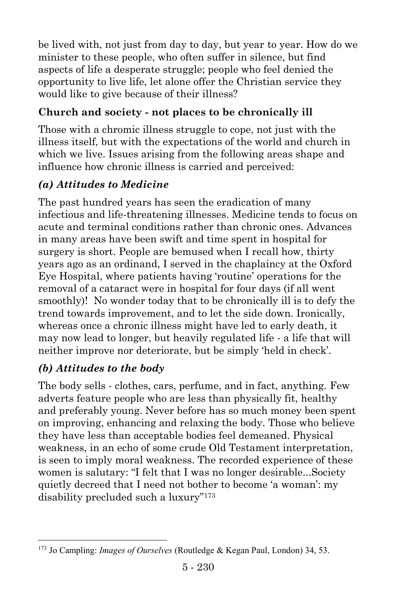be lived with, not just from day to day, but year to year. How do we minister to these people, who often suffer in silence, but find aspects of life a desperate struggle; people who feel denied the opportunity to live life, let alone offer the Christian service they would like to give because of their illness?

### **Church and society - not places to be chronically ill**

Those with a chromic illness struggle to cope, not just with the illness itself, but with the expectations of the world and church in which we live. Issues arising from the following areas shape and influence how chronic illness is carried and perceived:

## *(a) Attitudes to Medicine*

The past hundred years has seen the eradication of many infectious and life-threatening illnesses. Medicine tends to focus on acute and terminal conditions rather than chronic ones. Advances in many areas have been swift and time spent in hospital for surgery is short. People are bemused when I recall how, thirty years ago as an ordinand, I served in the chaplaincy at the Oxford Eye Hospital, where patients having 'routine' operations for the removal of a cataract were in hospital for four days (if all went smoothly)! No wonder today that to be chronically ill is to defy the trend towards improvement, and to let the side down. Ironically, whereas once a chronic illness might have led to early death, it may now lead to longer, but heavily regulated life - a life that will neither improve nor deteriorate, but be simply 'held in check'.

## *(b) Attitudes to the body*

 $\overline{a}$ 

The body sells - clothes, cars, perfume, and in fact, anything. Few adverts feature people who are less than physically fit, healthy and preferably young. Never before has so much money been spent on improving, enhancing and relaxing the body. Those who believe they have less than acceptable bodies feel demeaned. Physical weakness, in an echo of some crude Old Testament interpretation, is seen to imply moral weakness. The recorded experience of these women is salutary: "I felt that I was no longer desirable...Society quietly decreed that I need not bother to become 'a woman': my disability precluded such a luxury"<sup>173</sup>

<sup>173</sup> Jo Campling: *Images of Ourselves* (Routledge & Kegan Paul, London) 34, 53.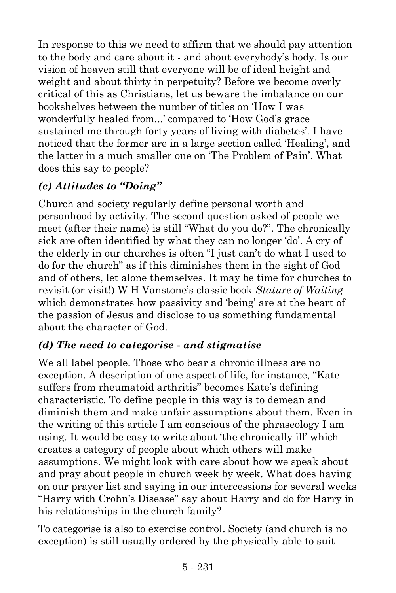In response to this we need to affirm that we should pay attention to the body and care about it - and about everybody's body. Is our vision of heaven still that everyone will be of ideal height and weight and about thirty in perpetuity? Before we become overly critical of this as Christians, let us beware the imbalance on our bookshelves between the number of titles on 'How I was wonderfully healed from...' compared to 'How God's grace sustained me through forty years of living with diabetes'. I have noticed that the former are in a large section called 'Healing', and the latter in a much smaller one on 'The Problem of Pain'. What does this say to people?

## *(c) Attitudes to "Doing"*

Church and society regularly define personal worth and personhood by activity. The second question asked of people we meet (after their name) is still "What do you do?". The chronically sick are often identified by what they can no longer 'do'. A cry of the elderly in our churches is often "I just can't do what I used to do for the church" as if this diminishes them in the sight of God and of others, let alone themselves. It may be time for churches to revisit (or visit!) W H Vanstone's classic book *Stature of Waiting* which demonstrates how passivity and 'being' are at the heart of the passion of Jesus and disclose to us something fundamental about the character of God.

#### *(d) The need to categorise - and stigmatise*

We all label people. Those who bear a chronic illness are no exception. A description of one aspect of life, for instance, "Kate suffers from rheumatoid arthritis" becomes Kate's defining characteristic. To define people in this way is to demean and diminish them and make unfair assumptions about them. Even in the writing of this article I am conscious of the phraseology I am using. It would be easy to write about 'the chronically ill' which creates a category of people about which others will make assumptions. We might look with care about how we speak about and pray about people in church week by week. What does having on our prayer list and saying in our intercessions for several weeks "Harry with Crohn's Disease" say about Harry and do for Harry in his relationships in the church family?

To categorise is also to exercise control. Society (and church is no exception) is still usually ordered by the physically able to suit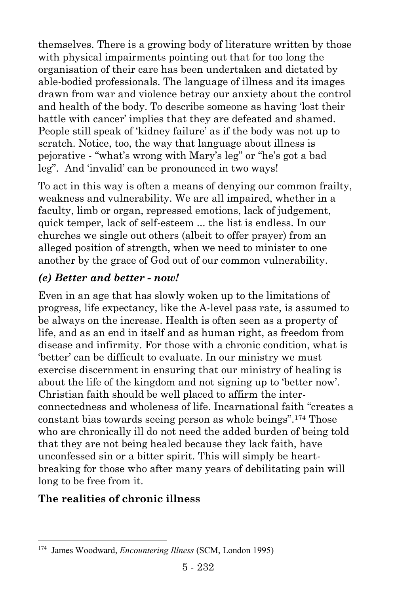themselves. There is a growing body of literature written by those with physical impairments pointing out that for too long the organisation of their care has been undertaken and dictated by able-bodied professionals. The language of illness and its images drawn from war and violence betray our anxiety about the control and health of the body. To describe someone as having 'lost their battle with cancer' implies that they are defeated and shamed. People still speak of 'kidney failure' as if the body was not up to scratch. Notice, too, the way that language about illness is pejorative - "what's wrong with Mary's leg" or "he's got a bad leg". And 'invalid' can be pronounced in two ways!

To act in this way is often a means of denying our common frailty, weakness and vulnerability. We are all impaired, whether in a faculty, limb or organ, repressed emotions, lack of judgement, quick temper, lack of self-esteem ... the list is endless. In our churches we single out others (albeit to offer prayer) from an alleged position of strength, when we need to minister to one another by the grace of God out of our common vulnerability.

#### *(e) Better and better - now!*

Even in an age that has slowly woken up to the limitations of progress, life expectancy, like the A-level pass rate, is assumed to be always on the increase. Health is often seen as a property of life, and as an end in itself and as human right, as freedom from disease and infirmity. For those with a chronic condition, what is 'better' can be difficult to evaluate. In our ministry we must exercise discernment in ensuring that our ministry of healing is about the life of the kingdom and not signing up to 'better now'. Christian faith should be well placed to affirm the interconnectedness and wholeness of life. Incarnational faith "creates a constant bias towards seeing person as whole beings".<sup>174</sup> Those who are chronically ill do not need the added burden of being told that they are not being healed because they lack faith, have unconfessed sin or a bitter spirit. This will simply be heartbreaking for those who after many years of debilitating pain will long to be free from it.

#### **The realities of chronic illness**

 $\overline{a}$ 

<sup>174</sup> James Woodward, *Encountering Illness* (SCM, London 1995)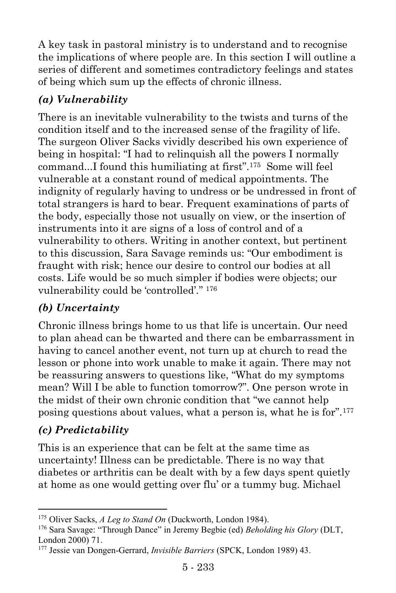A key task in pastoral ministry is to understand and to recognise the implications of where people are. In this section I will outline a series of different and sometimes contradictory feelings and states of being which sum up the effects of chronic illness.

## *(a) Vulnerability*

There is an inevitable vulnerability to the twists and turns of the condition itself and to the increased sense of the fragility of life. The surgeon Oliver Sacks vividly described his own experience of being in hospital: "I had to relinquish all the powers I normally command...I found this humiliating at first".<sup>175</sup> Some will feel vulnerable at a constant round of medical appointments. The indignity of regularly having to undress or be undressed in front of total strangers is hard to bear. Frequent examinations of parts of the body, especially those not usually on view, or the insertion of instruments into it are signs of a loss of control and of a vulnerability to others. Writing in another context, but pertinent to this discussion, Sara Savage reminds us: "Our embodiment is fraught with risk; hence our desire to control our bodies at all costs. Life would be so much simpler if bodies were objects; our vulnerability could be 'controlled'." <sup>176</sup>

#### *(b) Uncertainty*

Chronic illness brings home to us that life is uncertain. Our need to plan ahead can be thwarted and there can be embarrassment in having to cancel another event, not turn up at church to read the lesson or phone into work unable to make it again. There may not be reassuring answers to questions like, "What do my symptoms mean? Will I be able to function tomorrow?". One person wrote in the midst of their own chronic condition that "we cannot help posing questions about values, what a person is, what he is for".<sup>177</sup>

#### *(c) Predictability*

l

This is an experience that can be felt at the same time as uncertainty! Illness can be predictable. There is no way that diabetes or arthritis can be dealt with by a few days spent quietly at home as one would getting over flu' or a tummy bug. Michael

<sup>175</sup> Oliver Sacks, *A Leg to Stand On* (Duckworth, London 1984).

<sup>176</sup> Sara Savage: "Through Dance" in Jeremy Begbie (ed) *Beholding his Glory* (DLT, London 2000) 71.

<sup>177</sup> Jessie van Dongen-Gerrard, *Invisible Barriers* (SPCK, London 1989) 43.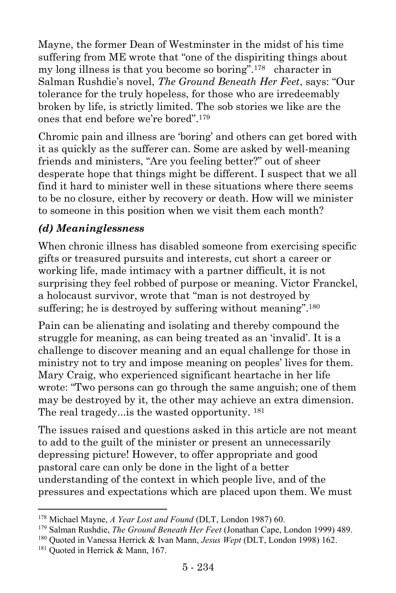Mayne, the former Dean of Westminster in the midst of his time suffering from ME wrote that "one of the dispiriting things about my long illness is that you become so boring".<sup>178</sup> character in Salman Rushdie's novel, *The Ground Beneath Her Feet*, says: "Our tolerance for the truly hopeless, for those who are irredeemably broken by life, is strictly limited. The sob stories we like are the ones that end before we're bored".<sup>179</sup>

Chromic pain and illness are 'boring' and others can get bored with it as quickly as the sufferer can. Some are asked by well-meaning friends and ministers, "Are you feeling better?" out of sheer desperate hope that things might be different. I suspect that we all find it hard to minister well in these situations where there seems to be no closure, either by recovery or death. How will we minister to someone in this position when we visit them each month?

#### *(d) Meaninglessness*

When chronic illness has disabled someone from exercising specific gifts or treasured pursuits and interests, cut short a career or working life, made intimacy with a partner difficult, it is not surprising they feel robbed of purpose or meaning. Victor Franckel, a holocaust survivor, wrote that "man is not destroyed by suffering; he is destroyed by suffering without meaning".<sup>180</sup>

Pain can be alienating and isolating and thereby compound the struggle for meaning, as can being treated as an 'invalid'. It is a challenge to discover meaning and an equal challenge for those in ministry not to try and impose meaning on peoples' lives for them. Mary Craig, who experienced significant heartache in her life wrote: "Two persons can go through the same anguish; one of them may be destroyed by it, the other may achieve an extra dimension. The real tragedy...is the wasted opportunity. <sup>181</sup>

The issues raised and questions asked in this article are not meant to add to the guilt of the minister or present an unnecessarily depressing picture! However, to offer appropriate and good pastoral care can only be done in the light of a better understanding of the context in which people live, and of the pressures and expectations which are placed upon them. We must

l <sup>178</sup> Michael Mayne, *A Year Lost and Found* (DLT, London 1987) 60.

<sup>179</sup> Salman Rushdie, *The Ground Beneath Her Feet* (Jonathan Cape, London 1999) 489.

<sup>180</sup> Quoted in Vanessa Herrick & Ivan Mann, *Jesus Wept* (DLT, London 1998) 162.

<sup>&</sup>lt;sup>181</sup> Quoted in Herrick & Mann, 167.